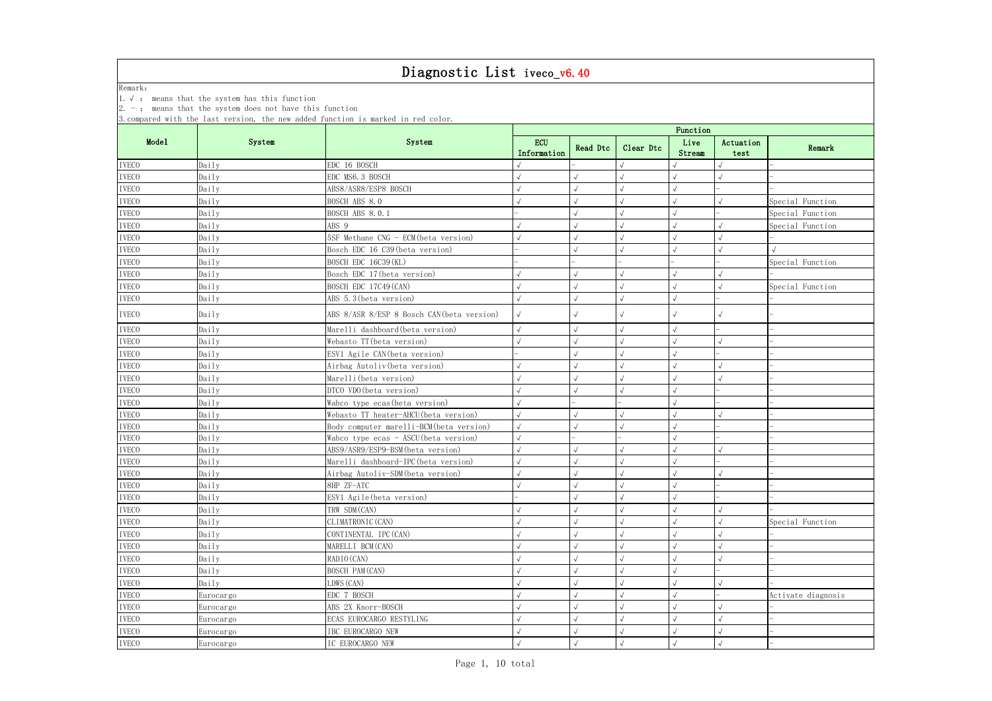| Remark:      |                                                            |                                                                                   |                           |            |              |                |                   |                    |  |  |  |
|--------------|------------------------------------------------------------|-----------------------------------------------------------------------------------|---------------------------|------------|--------------|----------------|-------------------|--------------------|--|--|--|
|              | 1. $\sqrt{ }$ : means that the system has this function    |                                                                                   |                           |            |              |                |                   |                    |  |  |  |
|              | $2. -$ : means that the system does not have this function | 3. compared with the last version, the new added function is marked in red color. |                           |            |              |                |                   |                    |  |  |  |
|              |                                                            |                                                                                   | Function                  |            |              |                |                   |                    |  |  |  |
| Mode1        | System                                                     | System                                                                            | <b>ECU</b><br>Information | Read Dtc   | Clear Dtc    | Live<br>Stream | Actuation<br>test | Remark             |  |  |  |
| <b>IVECO</b> | Daily                                                      | EDC 16 BOSCH                                                                      |                           |            | $\sqrt{}$    |                |                   |                    |  |  |  |
| <b>IVECO</b> | Daily                                                      | EDC MS6.3 BOSCH                                                                   |                           |            | $\sqrt{ }$   |                |                   |                    |  |  |  |
| <b>IVECO</b> | Daily                                                      | ABS8/ASR8/ESP8 BOSCH                                                              |                           |            | $\sqrt{ }$   |                |                   |                    |  |  |  |
| <b>IVECO</b> | Daily                                                      | BOSCH ABS 8.0                                                                     |                           |            |              |                |                   | Special Function   |  |  |  |
| <b>IVECO</b> | Daily                                                      | <b>BOSCH ABS 8.0.1</b>                                                            |                           |            |              |                |                   | Special Function   |  |  |  |
| <b>IVECO</b> | Daily                                                      | ABS 9                                                                             |                           |            | $\sqrt{}$    |                |                   | Special Function   |  |  |  |
| <b>IVECO</b> | Daily                                                      | 5SF Methane CNG - ECM (beta version)                                              |                           |            | $\sqrt{}$    |                |                   |                    |  |  |  |
| <b>IVECO</b> | Daily                                                      | Bosch EDC 16 C39 (beta version)                                                   |                           |            | $\sqrt{ }$   |                |                   | $\sqrt{}$          |  |  |  |
| <b>IVECO</b> | Daily                                                      | BOSCH EDC 16C39 (KL)                                                              |                           |            |              |                |                   | Special Function   |  |  |  |
| <b>IVECO</b> | Daily                                                      | Bosch EDC 17 (beta version)                                                       |                           |            |              |                |                   |                    |  |  |  |
| <b>IVECO</b> | Daily                                                      | BOSCH EDC 17C49 (CAN)                                                             |                           |            |              |                |                   | Special Function   |  |  |  |
| <b>IVECO</b> | Daily                                                      | ABS 5.3 (beta version)                                                            |                           |            | $\sqrt{}$    | $\sqrt{ }$     |                   |                    |  |  |  |
| <b>IVECO</b> | Daily                                                      | ABS 8/ASR 8/ESP 8 Bosch CAN (beta version)                                        |                           |            | $\sqrt{ }$   | $\sqrt{ }$     | $\sqrt{ }$        |                    |  |  |  |
| <b>IVECO</b> | Daily                                                      | Marelli dashboard (beta version)                                                  |                           |            | $\sqrt{ }$   |                |                   |                    |  |  |  |
| <b>IVECO</b> | Daily                                                      | Webasto TT (beta version)                                                         |                           |            | $\sqrt{ }$   |                | $\sqrt{ }$        |                    |  |  |  |
| <b>IVECO</b> | Daily                                                      | ESV1 Agile CAN (beta version)                                                     |                           |            | $\sqrt{ }$   |                |                   |                    |  |  |  |
| <b>IVECO</b> | Daily                                                      | Airbag Autoliv (beta version)                                                     |                           |            | $\checkmark$ |                |                   |                    |  |  |  |
| <b>IVECO</b> | Daily                                                      | Marelli (beta version)                                                            |                           |            |              |                |                   |                    |  |  |  |
| <b>IVECO</b> | Daily                                                      | DTCO VDO (beta version)                                                           |                           |            | $\sqrt{ }$   |                |                   |                    |  |  |  |
| <b>IVECO</b> | Daily                                                      | Wabco type ecas (beta version)                                                    |                           |            |              |                |                   |                    |  |  |  |
| <b>IVECO</b> | Daily                                                      | Webasto TT heater-AHCU (beta version)                                             |                           |            | $\sqrt{ }$   |                |                   |                    |  |  |  |
| <b>IVECO</b> | Daily                                                      | Body computer marelli-BCM (beta version)                                          |                           |            | $\sqrt{ }$   | $\sqrt{ }$     |                   |                    |  |  |  |
| <b>IVECO</b> | Daily                                                      | Wabco type ecas - ASCU (beta version)                                             |                           |            |              |                |                   |                    |  |  |  |
| <b>IVECO</b> | Daily                                                      | ABS9/ASR9/ESP9-BSM (beta version)                                                 |                           |            | $\sqrt{ }$   |                |                   |                    |  |  |  |
| <b>IVECO</b> | Daily                                                      | Marelli dashboard-IPC (beta version)                                              | $\sqrt{ }$                | $\sqrt{ }$ | $\sqrt{ }$   | $\sqrt{ }$     |                   |                    |  |  |  |
| <b>IVECO</b> | Daily                                                      | Airbag Autoliv-SDM (beta version)                                                 |                           |            | $\sqrt{}$    |                |                   |                    |  |  |  |
| <b>IVECO</b> | Daily                                                      | 8HP ZF-ATC                                                                        |                           |            |              |                |                   |                    |  |  |  |
| <b>IVECO</b> | Daily                                                      | ESV1 Agile (beta version)                                                         |                           |            |              |                |                   |                    |  |  |  |
| <b>IVECO</b> | Daily                                                      | TRW SDM (CAN)                                                                     |                           |            | $\sqrt{}$    |                |                   |                    |  |  |  |
| <b>IVECO</b> | Daily                                                      | CLIMATRONIC (CAN)                                                                 |                           |            | $\checkmark$ |                |                   | Special Function   |  |  |  |
| <b>IVECO</b> | Daily                                                      | CONTINENTAL IPC (CAN)                                                             |                           |            |              |                |                   |                    |  |  |  |
| <b>IVECO</b> | Daily                                                      | MARELLI BCM (CAN)                                                                 |                           |            |              |                |                   |                    |  |  |  |
| <b>IVECO</b> | Daily                                                      | RADIO (CAN)                                                                       |                           |            |              |                |                   |                    |  |  |  |
| <b>IVECO</b> | Daily                                                      | BOSCH PAM (CAN)                                                                   |                           |            | $\sqrt{}$    | $\sqrt{ }$     |                   |                    |  |  |  |
| <b>IVECO</b> | Daily                                                      | LDWS (CAN)                                                                        |                           |            |              |                |                   |                    |  |  |  |
| <b>IVECO</b> | Eurocargo                                                  | EDC 7 BOSCH                                                                       |                           |            | $\sqrt{}$    |                |                   | Activate diagnosis |  |  |  |
| <b>IVECO</b> | Eurocargo                                                  | ABS 2X Knorr-BOSCH                                                                |                           |            |              |                |                   |                    |  |  |  |
| <b>IVECO</b> | Eurocargo                                                  | ECAS EUROCARGO RESTYLING                                                          |                           |            | $\sqrt{ }$   |                |                   |                    |  |  |  |
| <b>IVECO</b> | Eurocargo                                                  | IBC EUROCARGO NEW                                                                 |                           |            |              |                |                   |                    |  |  |  |
| <b>IVECO</b> | Eurocargo                                                  | IC EUROCARGO NEW                                                                  |                           |            | $\sqrt{ }$   |                | $\sqrt{}$         |                    |  |  |  |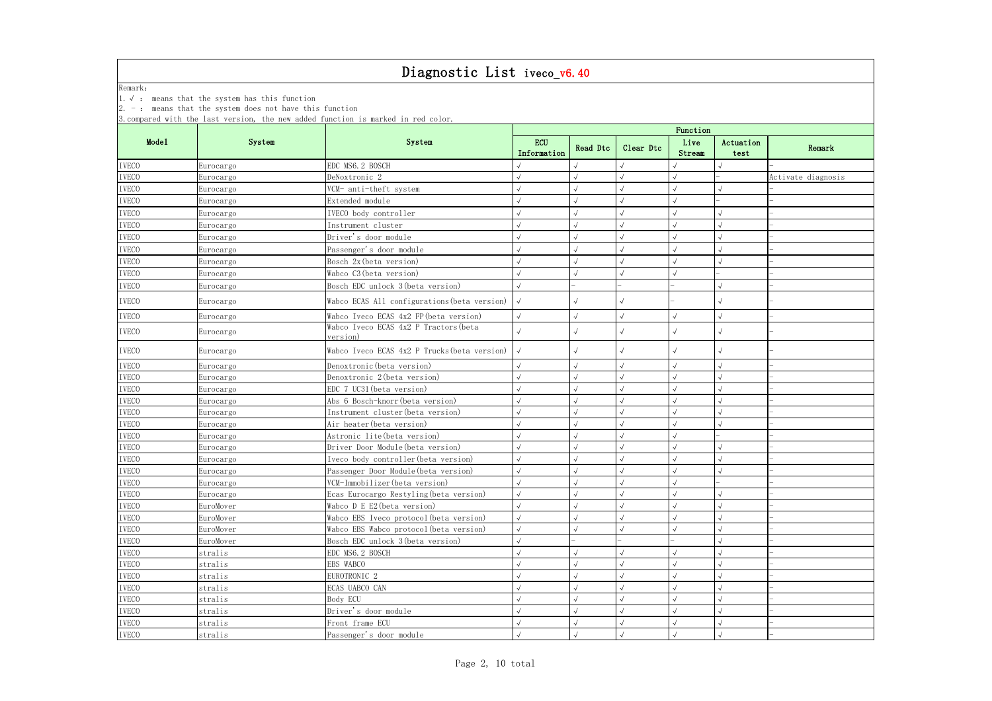|              | 1. $\sqrt{ }$ : means that the system has this function         |                                                                                   |                           |          |            |                |                   |                    |  |  |
|--------------|-----------------------------------------------------------------|-----------------------------------------------------------------------------------|---------------------------|----------|------------|----------------|-------------------|--------------------|--|--|
|              | $\vert 2.$ -: means that the system does not have this function | 3. compared with the last version, the new added function is marked in red color. |                           |          |            |                |                   |                    |  |  |
|              |                                                                 |                                                                                   | Function                  |          |            |                |                   |                    |  |  |
| Mode1        | System                                                          | System                                                                            | <b>ECU</b><br>Information | Read Dtc | Clear Dtc  | Live<br>Stream | Actuation<br>test | Remark             |  |  |
| <b>IVECO</b> | Eurocargo                                                       | EDC MS6. 2 BOSCH                                                                  |                           |          |            |                |                   |                    |  |  |
| <b>IVECO</b> | Eurocargo                                                       | DeNoxtronic 2                                                                     |                           |          |            |                |                   | Activate diagnosis |  |  |
| <b>IVECO</b> | Eurocargo                                                       | VCM- anti-theft system                                                            |                           |          |            |                |                   |                    |  |  |
| <b>IVECO</b> | Eurocargo                                                       | Extended module                                                                   |                           |          |            |                |                   |                    |  |  |
| <b>IVECO</b> | Eurocargo                                                       | IVECO body controller                                                             |                           |          |            |                |                   |                    |  |  |
| <b>IVECO</b> | Eurocargo                                                       | Instrument cluster                                                                |                           |          |            |                |                   |                    |  |  |
| <b>IVECO</b> | Eurocargo                                                       | Driver's door module                                                              |                           |          |            |                |                   |                    |  |  |
| <b>IVECO</b> | Eurocargo                                                       | Passenger's door module                                                           |                           |          |            |                |                   |                    |  |  |
| <b>IVECO</b> | Eurocargo                                                       | Bosch 2x (beta version)                                                           |                           |          |            |                |                   |                    |  |  |
| <b>IVECO</b> | Eurocargo                                                       | Wabco C3 (beta version)                                                           |                           |          |            |                |                   |                    |  |  |
| <b>IVECO</b> | Eurocargo                                                       | Bosch EDC unlock 3 (beta version)                                                 | $\sqrt{}$                 |          |            |                |                   |                    |  |  |
| <b>IVECO</b> | Eurocargo                                                       | Wabco ECAS All configurations (beta version)                                      |                           |          |            |                |                   |                    |  |  |
| <b>IVECO</b> | Eurocargo                                                       | Wabco Iveco ECAS 4x2 FP (beta version)                                            | $\sqrt{}$                 |          | $\sqrt{2}$ |                |                   |                    |  |  |
| <b>IVECO</b> | Eurocargo                                                       | Wabco Iveco ECAS 4x2 P Tractors (beta<br>version)                                 |                           |          |            |                |                   |                    |  |  |
| <b>IVECO</b> | Eurocargo                                                       | Wabco Iveco ECAS 4x2 P Trucks (beta version)                                      |                           |          |            |                |                   |                    |  |  |
| <b>IVECO</b> | Eurocargo                                                       | Denoxtronic (beta version)                                                        | $\sqrt{}$                 |          |            |                |                   |                    |  |  |
| <b>IVECO</b> | Eurocargo                                                       | Denoxtronic 2(beta version)                                                       |                           |          |            |                |                   |                    |  |  |
| <b>IVECO</b> | Eurocargo                                                       | EDC 7 UC31 (beta version)                                                         |                           |          |            |                |                   |                    |  |  |
| <b>IVECO</b> | Eurocargo                                                       | Abs 6 Bosch-knorr (beta version)                                                  |                           |          |            |                |                   |                    |  |  |
| <b>IVECO</b> | Eurocargo                                                       | Instrument cluster(beta version)                                                  |                           |          |            |                |                   |                    |  |  |
| <b>IVECO</b> | Eurocargo                                                       | Air heater (beta version)                                                         |                           |          |            |                |                   |                    |  |  |
| <b>IVECO</b> | Eurocargo                                                       | Astronic lite(beta version)                                                       |                           |          |            |                |                   |                    |  |  |
| <b>IVECO</b> | Eurocargo                                                       | Driver Door Module (beta version)                                                 |                           |          |            |                |                   |                    |  |  |
| <b>IVECO</b> | Eurocargo                                                       | Iveco body controller (beta version)                                              |                           |          |            |                |                   |                    |  |  |
| <b>IVECO</b> | Eurocargo                                                       | Passenger Door Module (beta version)                                              | $\sqrt{ }$                |          |            |                | $\sqrt{ }$        |                    |  |  |
| <b>IVECO</b> | Eurocargo                                                       | VCM-Immobilizer (beta version)                                                    |                           |          |            |                |                   |                    |  |  |
| <b>IVECO</b> | Eurocargo                                                       | Ecas Eurocargo Restyling (beta version)                                           |                           |          |            |                |                   |                    |  |  |
| <b>IVECO</b> | EuroMover                                                       | Wabco D E E2 (beta version)                                                       |                           |          |            |                |                   |                    |  |  |
| <b>IVECO</b> | EuroMover                                                       | Wabco EBS Iveco protocol (beta version)                                           |                           |          |            |                |                   |                    |  |  |
| <b>IVECO</b> | EuroMover                                                       | Wabco EBS Wabco protocol (beta version)                                           |                           |          |            |                |                   |                    |  |  |
| <b>IVECO</b> | EuroMover                                                       | Bosch EDC unlock 3 (beta version)                                                 |                           |          |            |                |                   |                    |  |  |
| <b>IVECO</b> | stralis                                                         | EDC MS6.2 BOSCH                                                                   |                           |          |            |                |                   |                    |  |  |
| <b>IVECO</b> | stralis                                                         | EBS WABCO                                                                         |                           |          |            |                |                   |                    |  |  |
| <b>IVECO</b> | stralis                                                         | EUROTRONIC <sub>2</sub>                                                           |                           |          |            |                |                   |                    |  |  |
| <b>IVECO</b> | stralis                                                         | ECAS UABCO CAN                                                                    |                           |          |            |                |                   |                    |  |  |
| <b>IVECO</b> | stralis                                                         | Body ECU                                                                          |                           |          |            |                |                   |                    |  |  |
| <b>IVECO</b> | stralis                                                         | Driver's door module                                                              |                           |          |            |                |                   |                    |  |  |
| <b>IVECO</b> | stralis                                                         | Front frame ECU                                                                   | $\sqrt{2}$                |          |            |                |                   |                    |  |  |
| <b>IVECO</b> | stralis                                                         | Passenger's door module                                                           |                           |          |            |                |                   |                    |  |  |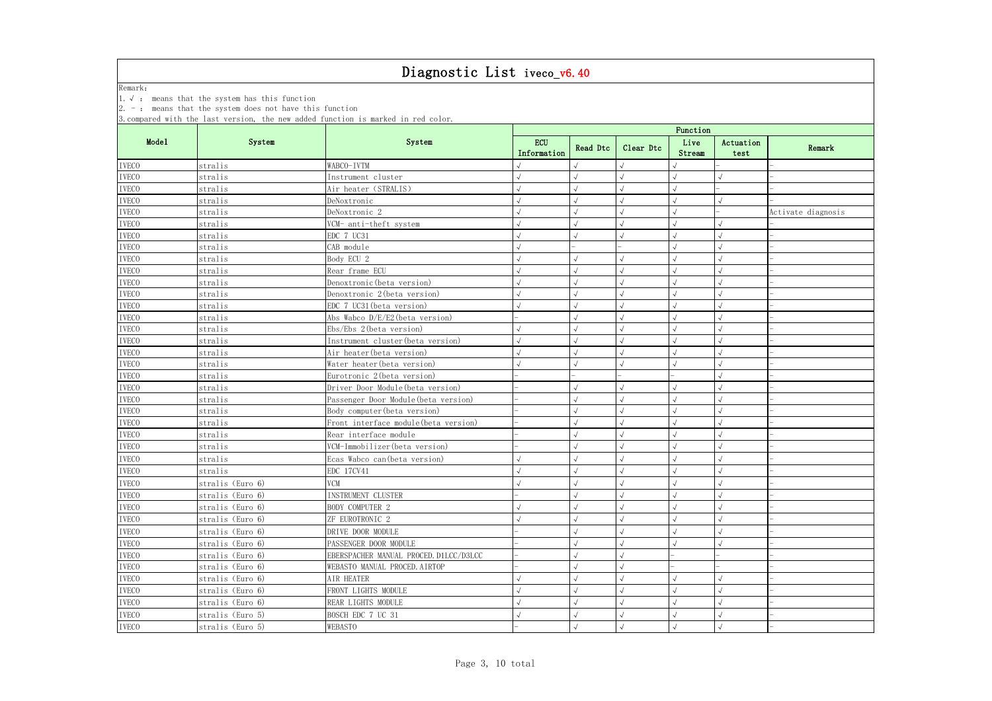|              |                  | 3. compared with the last version, the new added function is marked in red color. |                           |          |            |                |                   |                    |  |
|--------------|------------------|-----------------------------------------------------------------------------------|---------------------------|----------|------------|----------------|-------------------|--------------------|--|
|              |                  |                                                                                   | Function                  |          |            |                |                   |                    |  |
| Mode1        | System           | System                                                                            | <b>ECU</b><br>Information | Read Dtc | Clear Dtc  | Live<br>Stream | Actuation<br>test | Remark             |  |
| <b>IVECO</b> | stralis          | WABCO-IVTM                                                                        |                           |          |            |                |                   |                    |  |
| <b>IVECO</b> | stralis          | Instrument cluster                                                                |                           |          | $\sqrt{}$  |                |                   |                    |  |
| <b>IVECO</b> | stralis          | Air heater (STRALIS)                                                              |                           |          |            |                |                   |                    |  |
| <b>IVECO</b> | stralis          | DeNoxtronic                                                                       |                           |          | $\sqrt{ }$ |                |                   |                    |  |
| <b>IVECO</b> | stralis          | DeNoxtronic 2                                                                     |                           |          | $\sqrt{}$  |                |                   | Activate diagnosis |  |
| <b>IVECO</b> | stralis          | VCM- anti-theft system                                                            |                           |          |            |                |                   |                    |  |
| <b>IVECO</b> | stralis          | EDC 7 UC31                                                                        |                           |          | $\sqrt{ }$ |                |                   |                    |  |
| <b>IVECO</b> | stralis          | CAB module                                                                        |                           |          |            |                |                   |                    |  |
| <b>IVECO</b> | stralis          | Body ECU 2                                                                        |                           |          |            |                |                   |                    |  |
| <b>IVECO</b> | stralis          | Rear frame ECU                                                                    |                           |          | $\sqrt{ }$ |                |                   |                    |  |
| <b>IVECO</b> | stralis          | Denoxtronic (beta version)                                                        |                           |          | $\sqrt{}$  |                |                   |                    |  |
| <b>IVECO</b> | stralis          | Denoxtronic 2 (beta version)                                                      |                           |          | $\sqrt{ }$ |                |                   |                    |  |
| <b>IVECO</b> | stralis          | EDC 7 UC31 (beta version)                                                         |                           |          | $\sqrt{}$  |                |                   |                    |  |
| <b>IVECO</b> | stralis          | Abs Wabco D/E/E2 (beta version)                                                   |                           |          | $\sqrt{ }$ |                |                   |                    |  |
| <b>IVECO</b> | stralis          | $Ebs/Ebs$ 2 (beta version)                                                        |                           |          |            |                |                   |                    |  |
| <b>IVECO</b> | stralis          | Instrument cluster (beta version)                                                 |                           |          | $\sqrt{ }$ |                |                   |                    |  |
| <b>IVECO</b> | stralis          | Air heater (beta version)                                                         |                           |          | $\sqrt{ }$ |                |                   |                    |  |
| <b>IVECO</b> | stralis          | Water heater (beta version)                                                       |                           |          |            |                |                   |                    |  |
| <b>IVECO</b> | stralis          | Eurotronic 2 (beta version)                                                       |                           |          |            |                |                   |                    |  |
| <b>IVECO</b> | stralis          | Driver Door Module (beta version)                                                 |                           |          | $\sqrt{ }$ |                |                   |                    |  |
| <b>IVECO</b> | stralis          | Passenger Door Module (beta version)                                              |                           |          |            |                |                   |                    |  |
| <b>IVECO</b> | stralis          | Body computer (beta version)                                                      |                           |          |            |                |                   |                    |  |
| <b>IVECO</b> | stralis          | Front interface module (beta version)                                             |                           |          | $\sqrt{ }$ |                |                   |                    |  |
| <b>IVECO</b> | stralis          | Rear interface module                                                             |                           |          | $\sqrt{ }$ |                |                   |                    |  |
| <b>IVECO</b> | stralis          | VCM-Immobilizer (beta version)                                                    |                           |          |            |                |                   |                    |  |
| <b>IVECO</b> | stralis          | Ecas Wabco can (beta version)                                                     |                           |          |            |                |                   |                    |  |
| <b>IVECO</b> | stralis          | EDC 17CV41                                                                        |                           |          | $\sqrt{}$  |                |                   |                    |  |
| <b>IVECO</b> | stralis (Euro 6) | <b>VCM</b>                                                                        |                           |          | $\sqrt{ }$ |                |                   |                    |  |
| <b>IVECO</b> | stralis (Euro 6) | INSTRUMENT CLUSTER                                                                |                           |          | $\sqrt{ }$ |                |                   |                    |  |
| <b>IVECO</b> | stralis (Euro 6) | BODY COMPUTER 2                                                                   |                           |          | $\sqrt{}$  |                |                   |                    |  |
| <b>IVECO</b> | stralis (Euro 6) | ZF EUROTRONIC 2                                                                   |                           |          | $\sqrt{ }$ |                |                   |                    |  |
| <b>IVECO</b> | stralis (Euro 6) | DRIVE DOOR MODULE                                                                 |                           |          |            |                |                   |                    |  |
| <b>IVECO</b> | stralis (Euro 6) | PASSENGER DOOR MODULE                                                             |                           |          |            |                |                   |                    |  |
| <b>IVECO</b> | stralis (Euro 6) | EBERSPACHER MANUAL PROCED. D1LCC/D3LCC                                            |                           |          | $\sqrt{ }$ |                |                   |                    |  |
| <b>IVECO</b> | stralis (Euro 6) | WEBASTO MANUAL PROCED. AIRTOP                                                     |                           |          | $\sqrt{ }$ |                |                   |                    |  |
| <b>IVECO</b> | stralis (Euro 6) | AIR HEATER                                                                        |                           |          | $\sqrt{ }$ |                |                   |                    |  |
| <b>IVECO</b> | stralis (Euro 6) | FRONT LIGHTS MODULE                                                               |                           |          |            |                |                   |                    |  |
| <b>IVECO</b> | stralis (Euro 6) | REAR LIGHTS MODULE                                                                |                           |          |            |                |                   |                    |  |
| <b>IVECO</b> | stralis (Euro 5) | BOSCH EDC 7 UC 31                                                                 |                           |          | $\sqrt{ }$ |                |                   |                    |  |
| <b>IVECO</b> | stralis (Euro 5) | WEBASTO                                                                           |                           |          | $\sqrt{ }$ |                |                   |                    |  |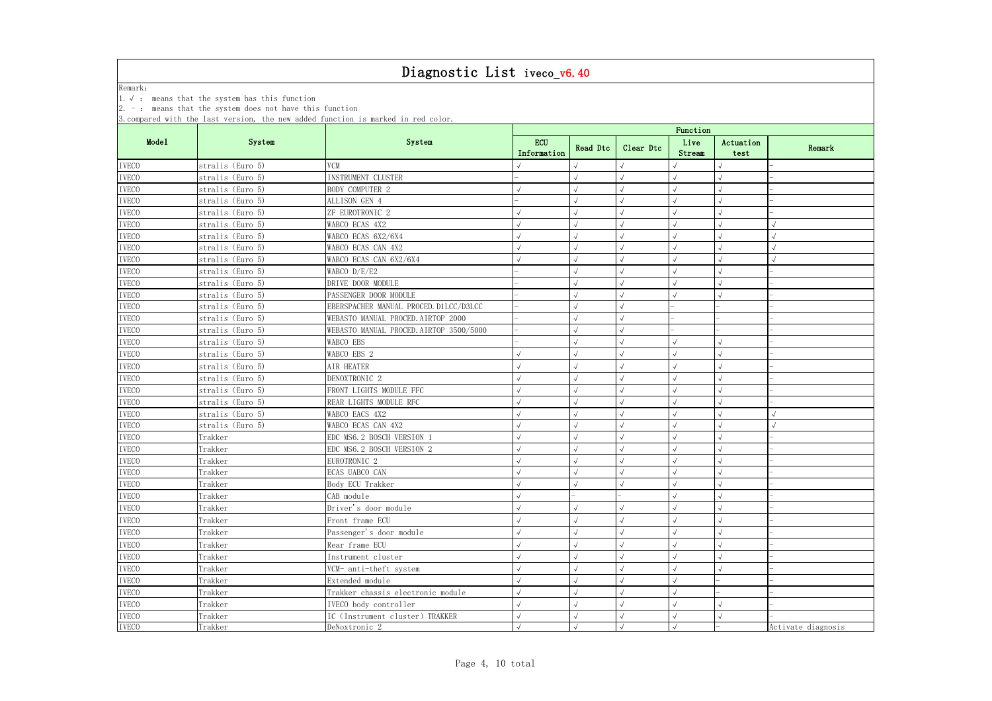| $2. -$ : means that the system does not have this function<br>3. compared with the last version, the new added function is marked in red color.<br>Function<br>Mode1<br>System<br>System<br><b>ECU</b><br>Live<br>Actuation<br>Clear Dtc<br>Read Dtc<br>Remark<br>Information<br>Stream<br>test<br><b>IVECO</b><br><b>VCM</b><br>stralis (Euro 5)<br>$\sqrt{2}$<br>stralis (Euro 5)<br>INSTRUMENT CLUSTER<br>stralis (Euro 5)<br>BODY COMPUTER 2<br>ALLISON GEN 4<br>stralis (Euro 5)<br>$\sqrt{ }$<br>stralis (Euro 5)<br>ZF EUROTRONIC 2<br>$\sqrt{ }$<br>stralis (Euro 5)<br>WABCO ECAS 4X2<br>$\sqrt{ }$<br>WABCO ECAS 6X2/6X4<br>stralis (Euro 5)<br>WABCO ECAS CAN 4X2<br>stralis (Euro 5)<br>$\sqrt{ }$<br>stralis (Euro 5)<br>WABCO ECAS CAN 6X2/6X4<br>stralis (Euro 5)<br>WABCO D/E/E2<br>stralis (Euro 5)<br>DRIVE DOOR MODULE<br>$\sqrt{2}$<br>PASSENGER DOOR MODULE<br>stralis (Euro 5)<br><b>IVECO</b><br>$\checkmark$<br>stralis (Euro 5)<br>EBERSPACHER MANUAL PROCED. D1LCC/D3LCC<br>$\sqrt{ }$<br>stralis (Euro 5)<br>WEBASTO MANUAL PROCED. AIRTOP 2000<br>$\sqrt{}$<br>WEBASTO MANUAL PROCED. AIRTOP 3500/5000<br>stralis (Euro 5)<br>$\checkmark$<br>WABCO EBS<br>stralis (Euro 5)<br>$\sqrt{}$<br><b>IVECO</b><br>stralis (Euro 5)<br>WABCO EBS 2<br>$\sqrt{}$<br><b>IVECO</b><br>stralis (Euro 5)<br>AIR HEATER<br><b>IVECO</b><br>stralis (Euro 5)<br>DENOXTRONIC <sub>2</sub><br><b>IVECO</b><br>FRONT LIGHTS MODULE FFC<br>stralis (Euro 5)<br><b>IVECO</b><br>stralis (Euro 5)<br>REAR LIGHTS MODULE RFC<br><b>IVECO</b><br>$\sqrt{ }$<br>stralis (Euro 5)<br>WABCO EACS 4X2<br><b>IVECO</b><br>WABCO ECAS CAN 4X2<br>$\checkmark$<br>stralis (Euro 5)<br>$\sqrt{}$<br>EDC MS6. 2 BOSCH VERSION :<br><b>IVECO</b><br>Trakker<br><b>IVECO</b><br>Trakker<br>EDC MS6. 2 BOSCH VERSION 2<br>EUROTRONIC <sub>2</sub><br>Trakker<br>Trakker<br>ECAS UABCO CAN<br>$\sqrt{}$<br>$\sqrt{ }$<br>$\sqrt{}$<br>Trakker<br>$\sqrt{}$<br>Body ECU Trakker<br>Trakker<br>CAB module<br><b>IVECO</b><br>Trakker<br>Driver's door module<br>$\sqrt{ }$<br><b>IVECO</b><br>Trakker<br>Front frame ECU<br>$\checkmark$<br><b>IVECO</b><br>Passenger's door module<br>Trakker<br><b>IVECO</b><br>Trakker<br>Rear frame ECU<br><b>IVECO</b><br>Trakker<br>$\checkmark$<br>Instrument cluster<br><b>IVECO</b><br>Trakker<br>$\sqrt{ }$<br>VCM- anti-theft system<br><b>IVECO</b><br>Extended module<br>Trakker<br><b>IVECO</b><br>Trakker<br>Trakker chassis electronic module<br><b>IVECO</b><br>Trakker<br>$\sqrt{ }$<br>IVECO body controller<br><b>IVECO</b><br>Trakker<br>IC (Instrument cluster) TRAKKER |              | 1. $\sqrt{ }$ : means that the system has this function |               |  |            |  |  |                    |  |  |  |
|----------------------------------------------------------------------------------------------------------------------------------------------------------------------------------------------------------------------------------------------------------------------------------------------------------------------------------------------------------------------------------------------------------------------------------------------------------------------------------------------------------------------------------------------------------------------------------------------------------------------------------------------------------------------------------------------------------------------------------------------------------------------------------------------------------------------------------------------------------------------------------------------------------------------------------------------------------------------------------------------------------------------------------------------------------------------------------------------------------------------------------------------------------------------------------------------------------------------------------------------------------------------------------------------------------------------------------------------------------------------------------------------------------------------------------------------------------------------------------------------------------------------------------------------------------------------------------------------------------------------------------------------------------------------------------------------------------------------------------------------------------------------------------------------------------------------------------------------------------------------------------------------------------------------------------------------------------------------------------------------------------------------------------------------------------------------------------------------------------------------------------------------------------------------------------------------------------------------------------------------------------------------------------------------------------------------------------------------------------------------------------------------------------------------------------------------------------------------------------------------------------------------------------------------------------------------------------------------------------------------|--------------|---------------------------------------------------------|---------------|--|------------|--|--|--------------------|--|--|--|
|                                                                                                                                                                                                                                                                                                                                                                                                                                                                                                                                                                                                                                                                                                                                                                                                                                                                                                                                                                                                                                                                                                                                                                                                                                                                                                                                                                                                                                                                                                                                                                                                                                                                                                                                                                                                                                                                                                                                                                                                                                                                                                                                                                                                                                                                                                                                                                                                                                                                                                                                                                                                                      |              |                                                         |               |  |            |  |  |                    |  |  |  |
|                                                                                                                                                                                                                                                                                                                                                                                                                                                                                                                                                                                                                                                                                                                                                                                                                                                                                                                                                                                                                                                                                                                                                                                                                                                                                                                                                                                                                                                                                                                                                                                                                                                                                                                                                                                                                                                                                                                                                                                                                                                                                                                                                                                                                                                                                                                                                                                                                                                                                                                                                                                                                      |              |                                                         |               |  |            |  |  |                    |  |  |  |
|                                                                                                                                                                                                                                                                                                                                                                                                                                                                                                                                                                                                                                                                                                                                                                                                                                                                                                                                                                                                                                                                                                                                                                                                                                                                                                                                                                                                                                                                                                                                                                                                                                                                                                                                                                                                                                                                                                                                                                                                                                                                                                                                                                                                                                                                                                                                                                                                                                                                                                                                                                                                                      |              |                                                         |               |  |            |  |  |                    |  |  |  |
|                                                                                                                                                                                                                                                                                                                                                                                                                                                                                                                                                                                                                                                                                                                                                                                                                                                                                                                                                                                                                                                                                                                                                                                                                                                                                                                                                                                                                                                                                                                                                                                                                                                                                                                                                                                                                                                                                                                                                                                                                                                                                                                                                                                                                                                                                                                                                                                                                                                                                                                                                                                                                      |              |                                                         |               |  |            |  |  |                    |  |  |  |
|                                                                                                                                                                                                                                                                                                                                                                                                                                                                                                                                                                                                                                                                                                                                                                                                                                                                                                                                                                                                                                                                                                                                                                                                                                                                                                                                                                                                                                                                                                                                                                                                                                                                                                                                                                                                                                                                                                                                                                                                                                                                                                                                                                                                                                                                                                                                                                                                                                                                                                                                                                                                                      | <b>IVECO</b> |                                                         |               |  |            |  |  |                    |  |  |  |
|                                                                                                                                                                                                                                                                                                                                                                                                                                                                                                                                                                                                                                                                                                                                                                                                                                                                                                                                                                                                                                                                                                                                                                                                                                                                                                                                                                                                                                                                                                                                                                                                                                                                                                                                                                                                                                                                                                                                                                                                                                                                                                                                                                                                                                                                                                                                                                                                                                                                                                                                                                                                                      | <b>IVECO</b> |                                                         |               |  |            |  |  |                    |  |  |  |
|                                                                                                                                                                                                                                                                                                                                                                                                                                                                                                                                                                                                                                                                                                                                                                                                                                                                                                                                                                                                                                                                                                                                                                                                                                                                                                                                                                                                                                                                                                                                                                                                                                                                                                                                                                                                                                                                                                                                                                                                                                                                                                                                                                                                                                                                                                                                                                                                                                                                                                                                                                                                                      | <b>IVECO</b> |                                                         |               |  |            |  |  |                    |  |  |  |
|                                                                                                                                                                                                                                                                                                                                                                                                                                                                                                                                                                                                                                                                                                                                                                                                                                                                                                                                                                                                                                                                                                                                                                                                                                                                                                                                                                                                                                                                                                                                                                                                                                                                                                                                                                                                                                                                                                                                                                                                                                                                                                                                                                                                                                                                                                                                                                                                                                                                                                                                                                                                                      | <b>IVECO</b> |                                                         |               |  |            |  |  |                    |  |  |  |
|                                                                                                                                                                                                                                                                                                                                                                                                                                                                                                                                                                                                                                                                                                                                                                                                                                                                                                                                                                                                                                                                                                                                                                                                                                                                                                                                                                                                                                                                                                                                                                                                                                                                                                                                                                                                                                                                                                                                                                                                                                                                                                                                                                                                                                                                                                                                                                                                                                                                                                                                                                                                                      | <b>IVECO</b> |                                                         |               |  |            |  |  |                    |  |  |  |
|                                                                                                                                                                                                                                                                                                                                                                                                                                                                                                                                                                                                                                                                                                                                                                                                                                                                                                                                                                                                                                                                                                                                                                                                                                                                                                                                                                                                                                                                                                                                                                                                                                                                                                                                                                                                                                                                                                                                                                                                                                                                                                                                                                                                                                                                                                                                                                                                                                                                                                                                                                                                                      | <b>IVECO</b> |                                                         |               |  |            |  |  |                    |  |  |  |
|                                                                                                                                                                                                                                                                                                                                                                                                                                                                                                                                                                                                                                                                                                                                                                                                                                                                                                                                                                                                                                                                                                                                                                                                                                                                                                                                                                                                                                                                                                                                                                                                                                                                                                                                                                                                                                                                                                                                                                                                                                                                                                                                                                                                                                                                                                                                                                                                                                                                                                                                                                                                                      | <b>IVECO</b> |                                                         |               |  |            |  |  |                    |  |  |  |
|                                                                                                                                                                                                                                                                                                                                                                                                                                                                                                                                                                                                                                                                                                                                                                                                                                                                                                                                                                                                                                                                                                                                                                                                                                                                                                                                                                                                                                                                                                                                                                                                                                                                                                                                                                                                                                                                                                                                                                                                                                                                                                                                                                                                                                                                                                                                                                                                                                                                                                                                                                                                                      | <b>IVECO</b> |                                                         |               |  |            |  |  |                    |  |  |  |
|                                                                                                                                                                                                                                                                                                                                                                                                                                                                                                                                                                                                                                                                                                                                                                                                                                                                                                                                                                                                                                                                                                                                                                                                                                                                                                                                                                                                                                                                                                                                                                                                                                                                                                                                                                                                                                                                                                                                                                                                                                                                                                                                                                                                                                                                                                                                                                                                                                                                                                                                                                                                                      | <b>IVECO</b> |                                                         |               |  |            |  |  |                    |  |  |  |
|                                                                                                                                                                                                                                                                                                                                                                                                                                                                                                                                                                                                                                                                                                                                                                                                                                                                                                                                                                                                                                                                                                                                                                                                                                                                                                                                                                                                                                                                                                                                                                                                                                                                                                                                                                                                                                                                                                                                                                                                                                                                                                                                                                                                                                                                                                                                                                                                                                                                                                                                                                                                                      | <b>IVECO</b> |                                                         |               |  |            |  |  |                    |  |  |  |
|                                                                                                                                                                                                                                                                                                                                                                                                                                                                                                                                                                                                                                                                                                                                                                                                                                                                                                                                                                                                                                                                                                                                                                                                                                                                                                                                                                                                                                                                                                                                                                                                                                                                                                                                                                                                                                                                                                                                                                                                                                                                                                                                                                                                                                                                                                                                                                                                                                                                                                                                                                                                                      | <b>IVECO</b> |                                                         |               |  |            |  |  |                    |  |  |  |
|                                                                                                                                                                                                                                                                                                                                                                                                                                                                                                                                                                                                                                                                                                                                                                                                                                                                                                                                                                                                                                                                                                                                                                                                                                                                                                                                                                                                                                                                                                                                                                                                                                                                                                                                                                                                                                                                                                                                                                                                                                                                                                                                                                                                                                                                                                                                                                                                                                                                                                                                                                                                                      |              |                                                         |               |  |            |  |  |                    |  |  |  |
|                                                                                                                                                                                                                                                                                                                                                                                                                                                                                                                                                                                                                                                                                                                                                                                                                                                                                                                                                                                                                                                                                                                                                                                                                                                                                                                                                                                                                                                                                                                                                                                                                                                                                                                                                                                                                                                                                                                                                                                                                                                                                                                                                                                                                                                                                                                                                                                                                                                                                                                                                                                                                      | <b>IVECO</b> |                                                         |               |  |            |  |  |                    |  |  |  |
|                                                                                                                                                                                                                                                                                                                                                                                                                                                                                                                                                                                                                                                                                                                                                                                                                                                                                                                                                                                                                                                                                                                                                                                                                                                                                                                                                                                                                                                                                                                                                                                                                                                                                                                                                                                                                                                                                                                                                                                                                                                                                                                                                                                                                                                                                                                                                                                                                                                                                                                                                                                                                      | <b>IVECO</b> |                                                         |               |  |            |  |  |                    |  |  |  |
|                                                                                                                                                                                                                                                                                                                                                                                                                                                                                                                                                                                                                                                                                                                                                                                                                                                                                                                                                                                                                                                                                                                                                                                                                                                                                                                                                                                                                                                                                                                                                                                                                                                                                                                                                                                                                                                                                                                                                                                                                                                                                                                                                                                                                                                                                                                                                                                                                                                                                                                                                                                                                      | <b>IVECO</b> |                                                         |               |  |            |  |  |                    |  |  |  |
|                                                                                                                                                                                                                                                                                                                                                                                                                                                                                                                                                                                                                                                                                                                                                                                                                                                                                                                                                                                                                                                                                                                                                                                                                                                                                                                                                                                                                                                                                                                                                                                                                                                                                                                                                                                                                                                                                                                                                                                                                                                                                                                                                                                                                                                                                                                                                                                                                                                                                                                                                                                                                      |              |                                                         |               |  |            |  |  |                    |  |  |  |
|                                                                                                                                                                                                                                                                                                                                                                                                                                                                                                                                                                                                                                                                                                                                                                                                                                                                                                                                                                                                                                                                                                                                                                                                                                                                                                                                                                                                                                                                                                                                                                                                                                                                                                                                                                                                                                                                                                                                                                                                                                                                                                                                                                                                                                                                                                                                                                                                                                                                                                                                                                                                                      |              |                                                         |               |  |            |  |  |                    |  |  |  |
|                                                                                                                                                                                                                                                                                                                                                                                                                                                                                                                                                                                                                                                                                                                                                                                                                                                                                                                                                                                                                                                                                                                                                                                                                                                                                                                                                                                                                                                                                                                                                                                                                                                                                                                                                                                                                                                                                                                                                                                                                                                                                                                                                                                                                                                                                                                                                                                                                                                                                                                                                                                                                      |              |                                                         |               |  |            |  |  |                    |  |  |  |
|                                                                                                                                                                                                                                                                                                                                                                                                                                                                                                                                                                                                                                                                                                                                                                                                                                                                                                                                                                                                                                                                                                                                                                                                                                                                                                                                                                                                                                                                                                                                                                                                                                                                                                                                                                                                                                                                                                                                                                                                                                                                                                                                                                                                                                                                                                                                                                                                                                                                                                                                                                                                                      |              |                                                         |               |  |            |  |  |                    |  |  |  |
|                                                                                                                                                                                                                                                                                                                                                                                                                                                                                                                                                                                                                                                                                                                                                                                                                                                                                                                                                                                                                                                                                                                                                                                                                                                                                                                                                                                                                                                                                                                                                                                                                                                                                                                                                                                                                                                                                                                                                                                                                                                                                                                                                                                                                                                                                                                                                                                                                                                                                                                                                                                                                      |              |                                                         |               |  |            |  |  |                    |  |  |  |
|                                                                                                                                                                                                                                                                                                                                                                                                                                                                                                                                                                                                                                                                                                                                                                                                                                                                                                                                                                                                                                                                                                                                                                                                                                                                                                                                                                                                                                                                                                                                                                                                                                                                                                                                                                                                                                                                                                                                                                                                                                                                                                                                                                                                                                                                                                                                                                                                                                                                                                                                                                                                                      |              |                                                         |               |  |            |  |  |                    |  |  |  |
|                                                                                                                                                                                                                                                                                                                                                                                                                                                                                                                                                                                                                                                                                                                                                                                                                                                                                                                                                                                                                                                                                                                                                                                                                                                                                                                                                                                                                                                                                                                                                                                                                                                                                                                                                                                                                                                                                                                                                                                                                                                                                                                                                                                                                                                                                                                                                                                                                                                                                                                                                                                                                      |              |                                                         |               |  |            |  |  |                    |  |  |  |
|                                                                                                                                                                                                                                                                                                                                                                                                                                                                                                                                                                                                                                                                                                                                                                                                                                                                                                                                                                                                                                                                                                                                                                                                                                                                                                                                                                                                                                                                                                                                                                                                                                                                                                                                                                                                                                                                                                                                                                                                                                                                                                                                                                                                                                                                                                                                                                                                                                                                                                                                                                                                                      |              |                                                         |               |  |            |  |  |                    |  |  |  |
|                                                                                                                                                                                                                                                                                                                                                                                                                                                                                                                                                                                                                                                                                                                                                                                                                                                                                                                                                                                                                                                                                                                                                                                                                                                                                                                                                                                                                                                                                                                                                                                                                                                                                                                                                                                                                                                                                                                                                                                                                                                                                                                                                                                                                                                                                                                                                                                                                                                                                                                                                                                                                      |              |                                                         |               |  |            |  |  |                    |  |  |  |
|                                                                                                                                                                                                                                                                                                                                                                                                                                                                                                                                                                                                                                                                                                                                                                                                                                                                                                                                                                                                                                                                                                                                                                                                                                                                                                                                                                                                                                                                                                                                                                                                                                                                                                                                                                                                                                                                                                                                                                                                                                                                                                                                                                                                                                                                                                                                                                                                                                                                                                                                                                                                                      | <b>IVECO</b> |                                                         |               |  |            |  |  |                    |  |  |  |
|                                                                                                                                                                                                                                                                                                                                                                                                                                                                                                                                                                                                                                                                                                                                                                                                                                                                                                                                                                                                                                                                                                                                                                                                                                                                                                                                                                                                                                                                                                                                                                                                                                                                                                                                                                                                                                                                                                                                                                                                                                                                                                                                                                                                                                                                                                                                                                                                                                                                                                                                                                                                                      | $\it IVECO$  |                                                         |               |  |            |  |  |                    |  |  |  |
|                                                                                                                                                                                                                                                                                                                                                                                                                                                                                                                                                                                                                                                                                                                                                                                                                                                                                                                                                                                                                                                                                                                                                                                                                                                                                                                                                                                                                                                                                                                                                                                                                                                                                                                                                                                                                                                                                                                                                                                                                                                                                                                                                                                                                                                                                                                                                                                                                                                                                                                                                                                                                      | <b>IVECO</b> |                                                         |               |  |            |  |  |                    |  |  |  |
|                                                                                                                                                                                                                                                                                                                                                                                                                                                                                                                                                                                                                                                                                                                                                                                                                                                                                                                                                                                                                                                                                                                                                                                                                                                                                                                                                                                                                                                                                                                                                                                                                                                                                                                                                                                                                                                                                                                                                                                                                                                                                                                                                                                                                                                                                                                                                                                                                                                                                                                                                                                                                      | <b>IVECO</b> |                                                         |               |  |            |  |  |                    |  |  |  |
|                                                                                                                                                                                                                                                                                                                                                                                                                                                                                                                                                                                                                                                                                                                                                                                                                                                                                                                                                                                                                                                                                                                                                                                                                                                                                                                                                                                                                                                                                                                                                                                                                                                                                                                                                                                                                                                                                                                                                                                                                                                                                                                                                                                                                                                                                                                                                                                                                                                                                                                                                                                                                      |              |                                                         |               |  |            |  |  |                    |  |  |  |
|                                                                                                                                                                                                                                                                                                                                                                                                                                                                                                                                                                                                                                                                                                                                                                                                                                                                                                                                                                                                                                                                                                                                                                                                                                                                                                                                                                                                                                                                                                                                                                                                                                                                                                                                                                                                                                                                                                                                                                                                                                                                                                                                                                                                                                                                                                                                                                                                                                                                                                                                                                                                                      |              |                                                         |               |  |            |  |  |                    |  |  |  |
|                                                                                                                                                                                                                                                                                                                                                                                                                                                                                                                                                                                                                                                                                                                                                                                                                                                                                                                                                                                                                                                                                                                                                                                                                                                                                                                                                                                                                                                                                                                                                                                                                                                                                                                                                                                                                                                                                                                                                                                                                                                                                                                                                                                                                                                                                                                                                                                                                                                                                                                                                                                                                      |              |                                                         |               |  |            |  |  |                    |  |  |  |
|                                                                                                                                                                                                                                                                                                                                                                                                                                                                                                                                                                                                                                                                                                                                                                                                                                                                                                                                                                                                                                                                                                                                                                                                                                                                                                                                                                                                                                                                                                                                                                                                                                                                                                                                                                                                                                                                                                                                                                                                                                                                                                                                                                                                                                                                                                                                                                                                                                                                                                                                                                                                                      |              |                                                         |               |  |            |  |  |                    |  |  |  |
|                                                                                                                                                                                                                                                                                                                                                                                                                                                                                                                                                                                                                                                                                                                                                                                                                                                                                                                                                                                                                                                                                                                                                                                                                                                                                                                                                                                                                                                                                                                                                                                                                                                                                                                                                                                                                                                                                                                                                                                                                                                                                                                                                                                                                                                                                                                                                                                                                                                                                                                                                                                                                      |              |                                                         |               |  |            |  |  |                    |  |  |  |
|                                                                                                                                                                                                                                                                                                                                                                                                                                                                                                                                                                                                                                                                                                                                                                                                                                                                                                                                                                                                                                                                                                                                                                                                                                                                                                                                                                                                                                                                                                                                                                                                                                                                                                                                                                                                                                                                                                                                                                                                                                                                                                                                                                                                                                                                                                                                                                                                                                                                                                                                                                                                                      |              |                                                         |               |  |            |  |  |                    |  |  |  |
|                                                                                                                                                                                                                                                                                                                                                                                                                                                                                                                                                                                                                                                                                                                                                                                                                                                                                                                                                                                                                                                                                                                                                                                                                                                                                                                                                                                                                                                                                                                                                                                                                                                                                                                                                                                                                                                                                                                                                                                                                                                                                                                                                                                                                                                                                                                                                                                                                                                                                                                                                                                                                      |              |                                                         |               |  |            |  |  |                    |  |  |  |
|                                                                                                                                                                                                                                                                                                                                                                                                                                                                                                                                                                                                                                                                                                                                                                                                                                                                                                                                                                                                                                                                                                                                                                                                                                                                                                                                                                                                                                                                                                                                                                                                                                                                                                                                                                                                                                                                                                                                                                                                                                                                                                                                                                                                                                                                                                                                                                                                                                                                                                                                                                                                                      |              |                                                         |               |  |            |  |  |                    |  |  |  |
|                                                                                                                                                                                                                                                                                                                                                                                                                                                                                                                                                                                                                                                                                                                                                                                                                                                                                                                                                                                                                                                                                                                                                                                                                                                                                                                                                                                                                                                                                                                                                                                                                                                                                                                                                                                                                                                                                                                                                                                                                                                                                                                                                                                                                                                                                                                                                                                                                                                                                                                                                                                                                      |              |                                                         |               |  |            |  |  |                    |  |  |  |
|                                                                                                                                                                                                                                                                                                                                                                                                                                                                                                                                                                                                                                                                                                                                                                                                                                                                                                                                                                                                                                                                                                                                                                                                                                                                                                                                                                                                                                                                                                                                                                                                                                                                                                                                                                                                                                                                                                                                                                                                                                                                                                                                                                                                                                                                                                                                                                                                                                                                                                                                                                                                                      |              |                                                         |               |  |            |  |  |                    |  |  |  |
|                                                                                                                                                                                                                                                                                                                                                                                                                                                                                                                                                                                                                                                                                                                                                                                                                                                                                                                                                                                                                                                                                                                                                                                                                                                                                                                                                                                                                                                                                                                                                                                                                                                                                                                                                                                                                                                                                                                                                                                                                                                                                                                                                                                                                                                                                                                                                                                                                                                                                                                                                                                                                      | <b>IVECO</b> | Trakker                                                 | DeNoxtronic 2 |  | $\sqrt{ }$ |  |  | Activate diagnosis |  |  |  |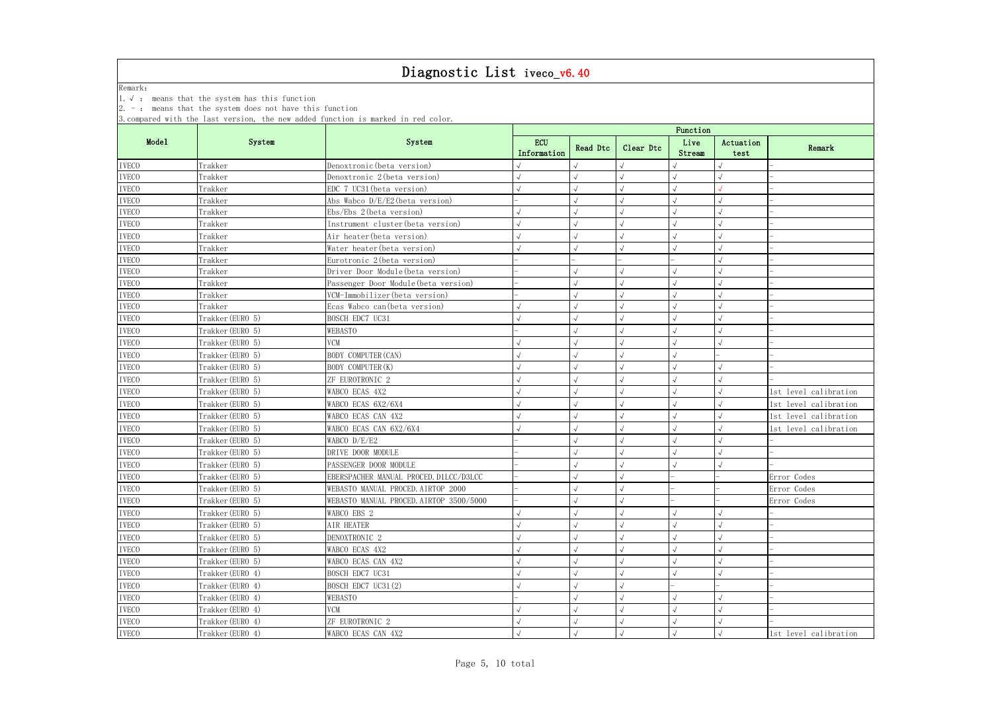Remark:

1.√ : means that the system has this function

2. - : means that the system does not have this function

3.compared with the last version, the new added function is marked in red color.

|              |                  |                                         | Function                  |            |            |                |                   |                       |  |  |
|--------------|------------------|-----------------------------------------|---------------------------|------------|------------|----------------|-------------------|-----------------------|--|--|
| Mode1        | System           | System                                  | <b>ECU</b><br>Information | Read Dtc   | Clear Dtc  | Live<br>Stream | Actuation<br>test | Remark                |  |  |
| <b>IVECO</b> | Trakker          | Denoxtronic (beta version)              |                           |            |            |                |                   |                       |  |  |
| <b>IVECO</b> | Trakker          | Denoxtronic 2 (beta version)            |                           |            |            |                |                   |                       |  |  |
| <b>IVECO</b> | Trakker          | EDC 7 UC31 (beta version)               |                           |            |            |                |                   |                       |  |  |
| <b>IVECO</b> | Trakker          | Abs Wabco $D/E/E2$ (beta version)       |                           |            |            |                |                   |                       |  |  |
| <b>IVECO</b> | Trakker          | $Ebs/Ebs$ 2 (beta version)              |                           |            |            |                |                   |                       |  |  |
| <b>IVECO</b> | Trakker          | Instrument cluster (beta version)       | $\sqrt{}$                 |            |            |                |                   |                       |  |  |
| <b>IVECO</b> | Trakker          | Air heater (beta version)               |                           |            |            |                |                   |                       |  |  |
| <b>IVECO</b> | Trakker          | Water heater (beta version)             |                           |            |            |                |                   |                       |  |  |
| <b>IVECO</b> | Trakker          | Eurotronic 2 (beta version)             |                           |            |            |                |                   |                       |  |  |
| <b>IVECO</b> | Trakker          | Driver Door Module (beta version)       |                           |            |            |                |                   |                       |  |  |
| <b>IVECO</b> | Trakker          | Passenger Door Module (beta version)    |                           |            |            |                |                   |                       |  |  |
| <b>IVECO</b> | Trakker          | VCM-Immobilizer (beta version)          |                           |            |            |                |                   |                       |  |  |
| <b>IVECO</b> | Trakker          | Ecas Wabco can (beta version)           |                           |            |            |                |                   |                       |  |  |
| <b>IVECO</b> | Trakker (EURO 5) | BOSCH EDC7 UC31                         |                           |            |            |                |                   |                       |  |  |
| <b>IVECO</b> | Trakker (EURO 5) | WEBASTO                                 |                           |            |            |                |                   |                       |  |  |
| <b>IVECO</b> | Trakker (EURO 5) | <b>VCM</b>                              |                           |            |            |                |                   |                       |  |  |
| <b>IVECO</b> | Trakker (EURO 5) | <b>BODY COMPUTER (CAN)</b>              |                           |            |            |                |                   |                       |  |  |
| <b>IVECO</b> | Trakker (EURO 5) | BODY COMPUTER (K)                       |                           |            |            |                |                   |                       |  |  |
| <b>IVECO</b> | Trakker (EURO 5) | ZF EUROTRONIC 2                         |                           |            |            |                |                   |                       |  |  |
| <b>IVECO</b> | Trakker (EURO 5) | WABCO ECAS 4X2                          |                           |            |            |                |                   | 1st level calibration |  |  |
| <b>IVECO</b> | Trakker (EURO 5) | WABCO ECAS 6X2/6X4                      |                           |            |            |                |                   | 1st level calibration |  |  |
| <b>IVECO</b> | Trakker (EURO 5) | WABCO ECAS CAN 4X2                      |                           |            |            |                |                   | 1st level calibration |  |  |
| <b>IVECO</b> | Trakker (EURO 5) | WABCO ECAS CAN 6X2/6X4                  |                           |            |            |                |                   | 1st level calibration |  |  |
| <b>IVECO</b> | Trakker (EURO 5) | WABCO D/E/E2                            |                           |            |            |                |                   |                       |  |  |
| <b>IVECO</b> | Trakker (EURO 5) | DRIVE DOOR MODULE                       |                           |            |            |                |                   |                       |  |  |
| <b>IVECO</b> | Trakker (EURO 5) | PASSENGER DOOR MODULE                   |                           |            |            |                |                   |                       |  |  |
| <b>IVECO</b> | Trakker (EURO 5) | EBERSPACHER MANUAL PROCED. D1LCC/D3LCC  |                           |            |            |                |                   | Error Codes           |  |  |
| <b>IVECO</b> | Trakker (EURO 5) | WEBASTO MANUAL PROCED. AIRTOP 2000      |                           |            |            |                |                   | Error Codes           |  |  |
| $\it IVECO$  | Trakker (EURO 5) | WEBASTO MANUAL PROCED. AIRTOP 3500/5000 |                           | $\sqrt{ }$ | $\sqrt{ }$ |                |                   | Error Codes           |  |  |
| <b>IVECO</b> | Trakker (EURO 5) | WABCO EBS 2                             |                           | $\sqrt{ }$ |            |                |                   |                       |  |  |
| <b>IVECO</b> | Trakker (EURO 5) | AIR HEATER                              |                           |            |            |                |                   |                       |  |  |
| <b>IVECO</b> | Trakker (EURO 5) | DENOXTRONIC 2                           |                           |            |            |                |                   |                       |  |  |
| <b>IVECO</b> | Trakker (EURO 5) | WABCO ECAS 4X2                          |                           |            |            |                |                   |                       |  |  |
| <b>IVECO</b> | Trakker (EURO 5) | WABCO ECAS CAN 4X2                      |                           |            |            |                |                   |                       |  |  |
| <b>IVECO</b> | Trakker (EURO 4) | BOSCH EDC7 UC31                         |                           |            |            |                |                   |                       |  |  |
| <b>IVECO</b> | Trakker (EURO 4) | BOSCH EDC7 UC31(2)                      |                           |            |            |                |                   |                       |  |  |
| <b>IVECO</b> | Trakker (EURO 4) | WEBASTO                                 |                           |            |            |                |                   |                       |  |  |
| <b>IVECO</b> | Trakker (EURO 4) | <b>VCM</b>                              |                           |            |            |                |                   |                       |  |  |
| <b>IVECO</b> | Trakker (EURO 4) | ZF EUROTRONIC 2                         |                           |            |            |                |                   |                       |  |  |
| <b>IVECO</b> | Trakker (EURO 4) | WABCO ECAS CAN 4X2                      | $\sqrt{}$                 | $\sqrt{ }$ |            | $\sqrt{ }$     |                   | 1st level calibration |  |  |
|              |                  |                                         |                           |            |            |                |                   |                       |  |  |

| tuation<br>test | Remark                |
|-----------------|-----------------------|
|                 |                       |
|                 |                       |
|                 |                       |
|                 |                       |
|                 |                       |
|                 |                       |
|                 |                       |
|                 |                       |
|                 |                       |
|                 |                       |
|                 |                       |
|                 |                       |
|                 |                       |
|                 |                       |
|                 |                       |
|                 |                       |
|                 |                       |
|                 |                       |
|                 | 1st level calibration |
|                 | 1st level calibration |
|                 | 1st level calibration |
|                 | 1st level calibration |
|                 |                       |
|                 |                       |
|                 |                       |
|                 | Error Codes           |
|                 | Error Codes           |
|                 | Codes<br>Error        |
|                 |                       |
|                 | $\overline{a}$        |
|                 |                       |
|                 |                       |
|                 |                       |
|                 |                       |
|                 |                       |
|                 | $\overline{a}$        |
|                 |                       |
|                 |                       |
|                 | 1st level calibration |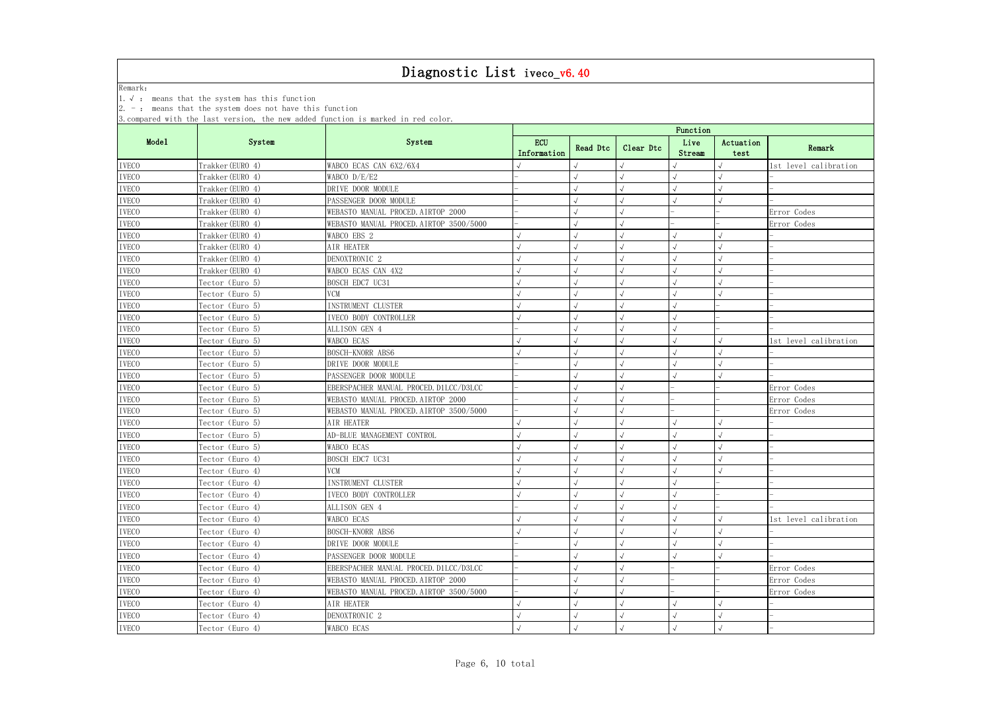|              | $2. -$ : means that the system does not have this function | 3. compared with the last version, the new added function is marked in red color. |                           |            |            |                |                   |                       |  |  |
|--------------|------------------------------------------------------------|-----------------------------------------------------------------------------------|---------------------------|------------|------------|----------------|-------------------|-----------------------|--|--|
|              |                                                            |                                                                                   | Function                  |            |            |                |                   |                       |  |  |
| Mode1        | System                                                     | System                                                                            | <b>ECU</b><br>Information | Read Dtc   | Clear Dtc  | Live<br>Stream | Actuation<br>test | Remark                |  |  |
| <b>IVECO</b> | Trakker (EURO 4)                                           | WABCO ECAS CAN 6X2/6X4                                                            |                           |            |            |                |                   | 1st level calibration |  |  |
| <b>IVECO</b> | Trakker (EURO 4)                                           | WABCO D/E/E2                                                                      |                           |            | $\sqrt{2}$ |                |                   |                       |  |  |
| <b>IVECO</b> | Trakker (EURO 4)                                           | DRIVE DOOR MODULE                                                                 |                           |            |            |                |                   |                       |  |  |
| <b>IVECO</b> | Trakker (EURO 4)                                           | PASSENGER DOOR MODULE                                                             |                           |            |            |                |                   |                       |  |  |
| <b>IVECO</b> | Trakker (EURO 4)                                           | WEBASTO MANUAL PROCED. AIRTOP 2000                                                |                           |            |            |                |                   | Error Codes           |  |  |
| <b>IVECO</b> | Trakker (EURO 4)                                           | WEBASTO MANUAL PROCED. AIRTOP 3500/5000                                           |                           |            | $\sqrt{2}$ |                |                   | Error Codes           |  |  |
| <b>IVECO</b> | Trakker (EURO 4)                                           | WABCO EBS 2                                                                       |                           |            |            |                |                   |                       |  |  |
| <b>IVECO</b> | Trakker (EURO 4)                                           | AIR HEATER                                                                        |                           |            |            |                |                   |                       |  |  |
| <b>IVECO</b> | Trakker (EURO 4)                                           | DENOXTRONIC <sub>2</sub>                                                          |                           |            |            |                |                   |                       |  |  |
| <b>IVECO</b> | Trakker (EURO 4)                                           | WABCO ECAS CAN 4X2                                                                |                           |            |            |                | $\sqrt{2}$        |                       |  |  |
| <b>IVECO</b> | Tector (Euro 5)                                            | BOSCH EDC7 UC31                                                                   |                           |            |            |                |                   |                       |  |  |
| <b>IVECO</b> | Tector (Euro 5)                                            | <b>VCM</b>                                                                        |                           |            |            |                |                   |                       |  |  |
| <b>IVECO</b> | Tector (Euro 5)                                            | INSTRUMENT CLUSTER                                                                |                           |            |            |                |                   |                       |  |  |
| <b>IVECO</b> | Tector (Euro 5)                                            | IVECO BODY CONTROLLER                                                             |                           |            |            |                |                   |                       |  |  |
| <b>IVECO</b> | Tector (Euro 5)                                            | ALLISON GEN 4                                                                     |                           |            |            |                |                   |                       |  |  |
| <b>IVECO</b> | Tector (Euro 5)                                            | WABCO ECAS                                                                        |                           |            |            |                |                   | 1st level calibration |  |  |
| <b>IVECO</b> | Tector (Euro 5)                                            | BOSCH-KNORR ABS6                                                                  |                           |            |            |                |                   |                       |  |  |
| <b>IVECO</b> | Tector (Euro 5)                                            | DRIVE DOOR MODULE                                                                 |                           |            |            |                |                   |                       |  |  |
| <b>IVECO</b> | Tector (Euro 5)                                            | PASSENGER DOOR MODULE                                                             |                           |            |            |                |                   |                       |  |  |
| <b>IVECO</b> | Tector (Euro 5)                                            | EBERSPACHER MANUAL PROCED. D1LCC/D3LCC                                            |                           |            |            |                |                   | Error Codes           |  |  |
| <b>IVECO</b> | Tector (Euro 5)                                            | WEBASTO MANUAL PROCED. AIRTOP 2000                                                |                           |            |            |                |                   | Error Codes           |  |  |
| <b>IVECO</b> | Tector (Euro 5)                                            | WEBASTO MANUAL PROCED. AIRTOP 3500/5000                                           |                           |            |            |                |                   | Error Codes           |  |  |
| <b>IVECO</b> | Tector (Euro 5)                                            | AIR HEATER                                                                        |                           |            |            |                |                   |                       |  |  |
| <b>IVECO</b> | Tector (Euro 5)                                            | AD-BLUE MANAGEMENT CONTROL                                                        |                           |            |            |                | $\sqrt{ }$        |                       |  |  |
| <b>IVECO</b> | Tector (Euro 5)                                            | WABCO ECAS                                                                        |                           |            |            |                |                   |                       |  |  |
| <b>IVECO</b> | Tector (Euro 4)                                            | BOSCH EDC7 UC31                                                                   |                           |            |            |                | $\sqrt{ }$        |                       |  |  |
| <b>IVECO</b> | Tector (Euro 4)                                            | <b>VCM</b>                                                                        |                           | $\sqrt{ }$ | $\sqrt{}$  |                | $\sqrt{ }$        |                       |  |  |
| <b>IVECO</b> | Tector (Euro 4)                                            | INSTRUMENT CLUSTER                                                                |                           |            |            |                |                   |                       |  |  |
| <b>IVECO</b> | Tector (Euro 4)                                            | IVECO BODY CONTROLLER                                                             |                           |            |            | $\sqrt{ }$     |                   |                       |  |  |
| <b>IVECO</b> | Tector (Euro 4)                                            | ALLISON GEN 4                                                                     |                           |            |            |                |                   |                       |  |  |
| $\it IVECO$  | Tector (Euro 4)                                            | WABCO ECAS                                                                        |                           |            |            |                |                   | 1st level calibration |  |  |
| <b>IVECO</b> | Tector (Euro 4)                                            | BOSCH-KNORR ABS6                                                                  |                           |            |            |                |                   |                       |  |  |
| <b>IVECO</b> | Tector (Euro 4)                                            | DRIVE DOOR MODULE                                                                 |                           |            |            |                |                   |                       |  |  |
| <b>IVECO</b> | Tector (Euro 4)                                            | PASSENGER DOOR MODULE                                                             |                           |            |            |                |                   |                       |  |  |
| <b>IVECO</b> | Tector (Euro 4)                                            | EBERSPACHER MANUAL PROCED. D1LCC/D3LCC                                            |                           |            |            |                |                   | Error Codes           |  |  |
| <b>IVECO</b> | Tector (Euro 4)                                            | WEBASTO MANUAL PROCED. AIRTOP 2000                                                |                           |            |            |                |                   | Error Codes           |  |  |
| <b>IVECO</b> | Tector (Euro 4)                                            | WEBASTO MANUAL PROCED. AIRTOP 3500/5000                                           |                           |            |            |                |                   | Error Codes           |  |  |
| <b>IVECO</b> | Tector (Euro 4)                                            | AIR HEATER                                                                        |                           |            |            |                |                   |                       |  |  |
| <b>IVECO</b> | Tector (Euro 4)                                            | DENOXTRONIC <sub>2</sub>                                                          |                           |            |            |                |                   |                       |  |  |
| <b>IVECO</b> | Tector (Euro 4)                                            | WABCO ECAS                                                                        |                           | $\sqrt{ }$ | $\sqrt{}$  |                | $\sqrt{ }$        |                       |  |  |
|              |                                                            |                                                                                   |                           |            |            |                |                   |                       |  |  |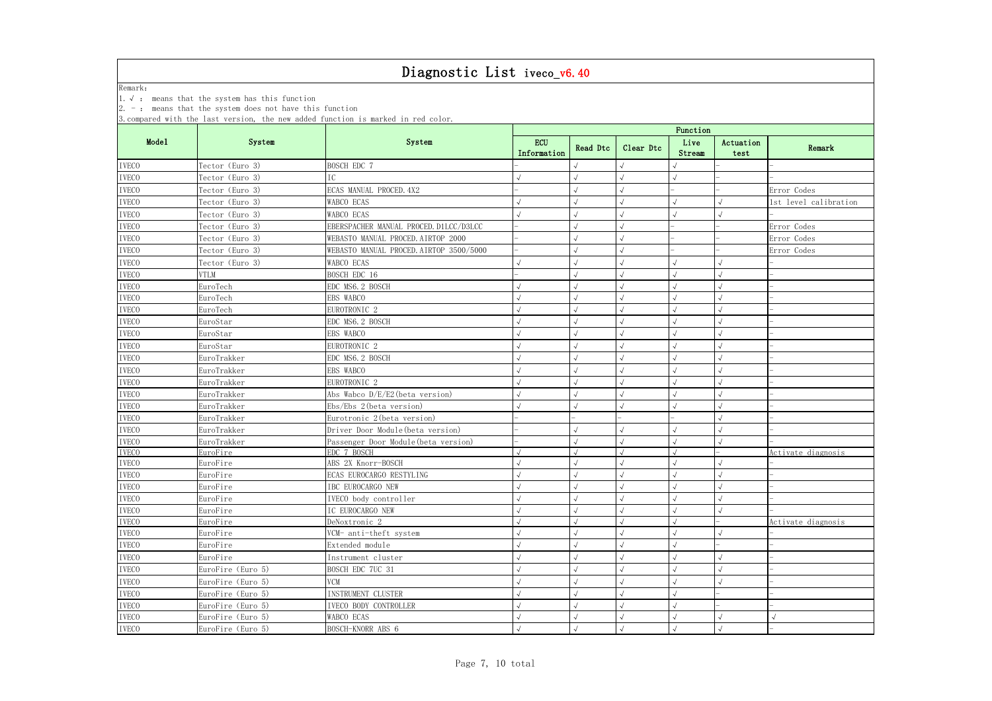#### Diagnostic List ives v6.40

|                              |                                                            | Diagnostic List iveco_vb. 40                                                      |                           |            |            |                |                   |                       |  |  |
|------------------------------|------------------------------------------------------------|-----------------------------------------------------------------------------------|---------------------------|------------|------------|----------------|-------------------|-----------------------|--|--|
| Remark:                      |                                                            |                                                                                   |                           |            |            |                |                   |                       |  |  |
|                              | 1. $\sqrt{ }$ : means that the system has this function    |                                                                                   |                           |            |            |                |                   |                       |  |  |
|                              | $2. -$ : means that the system does not have this function |                                                                                   |                           |            |            |                |                   |                       |  |  |
|                              |                                                            | 3. compared with the last version, the new added function is marked in red color. |                           |            |            |                |                   |                       |  |  |
|                              |                                                            |                                                                                   | Function                  |            |            |                |                   |                       |  |  |
| Mode1                        | System                                                     | System                                                                            | <b>ECU</b><br>Information | Read Dtc   | Clear Dtc  | Live<br>Stream | Actuation<br>test | Remark                |  |  |
|                              |                                                            |                                                                                   |                           |            |            |                |                   |                       |  |  |
| <b>IVECO</b>                 | Tector (Euro 3)                                            | BOSCH EDC 7                                                                       |                           |            |            |                |                   |                       |  |  |
| <b>IVECO</b>                 | Tector (Euro 3)                                            | IC                                                                                |                           |            | $\sqrt{2}$ |                |                   |                       |  |  |
| <b>IVECO</b>                 | Tector (Euro 3)                                            | ECAS MANUAL PROCED. 4X2                                                           |                           |            |            |                |                   | Error Codes           |  |  |
| <b>IVECO</b>                 | Tector (Euro 3)                                            | WABCO ECAS                                                                        |                           |            |            |                |                   | 1st level calibration |  |  |
| <b>IVECO</b>                 | Tector (Euro 3)                                            | <b>WABCO ECAS</b>                                                                 |                           |            |            |                |                   |                       |  |  |
| <b>IVECO</b>                 | Tector (Euro 3)                                            | EBERSPACHER MANUAL PROCED. D1LCC/D3LCC                                            |                           |            |            |                |                   | Error Codes           |  |  |
| <b>IVECO</b>                 | Tector (Euro 3)                                            | WEBASTO MANUAL PROCED. AIRTOP 2000                                                |                           |            | $\sqrt{2}$ |                |                   | Error Codes           |  |  |
| <b>IVECO</b>                 | Tector (Euro 3)                                            | WEBASTO MANUAL PROCED. AIRTOP 3500/5000                                           |                           |            |            |                |                   | Error Codes           |  |  |
| <b>IVECO</b>                 | Tector (Euro 3)                                            | WABCO ECAS                                                                        |                           |            |            |                |                   |                       |  |  |
| <b>IVECO</b>                 | <b>VTLM</b>                                                | BOSCH EDC 16                                                                      |                           |            |            |                |                   |                       |  |  |
| <b>IVECO</b>                 | EuroTech                                                   | EDC MS6. 2 BOSCH                                                                  |                           |            |            |                |                   |                       |  |  |
| <b>IVECO</b>                 | EuroTech                                                   | EBS WABCO                                                                         |                           |            |            |                |                   |                       |  |  |
| <b>IVECO</b>                 | EuroTech                                                   | EUROTRONIC <sub>2</sub>                                                           |                           |            |            |                |                   |                       |  |  |
| <b>IVECO</b>                 | EuroStar                                                   | EDC MS6.2 BOSCH                                                                   |                           |            |            |                |                   |                       |  |  |
| <b>IVECO</b>                 | EuroStar                                                   | EBS WABCO                                                                         |                           |            |            |                |                   |                       |  |  |
| <b>IVECO</b>                 | EuroStar                                                   | EUROTRONIC <sub>2</sub>                                                           |                           |            |            |                |                   |                       |  |  |
| <b>IVECO</b>                 | EuroTrakker                                                | EDC MS6. 2 BOSCH                                                                  |                           |            |            |                |                   |                       |  |  |
| <b>IVECO</b>                 | EuroTrakker                                                | EBS WABCO                                                                         |                           |            |            |                |                   |                       |  |  |
| <b>IVECO</b>                 | EuroTrakker                                                | EUROTRONIC <sub>2</sub>                                                           |                           |            |            |                | $\sqrt{ }$        |                       |  |  |
| <b>IVECO</b>                 | EuroTrakker                                                | Abs Wabco D/E/E2(beta version)                                                    |                           |            |            |                |                   |                       |  |  |
| <b>IVECO</b>                 | EuroTrakker                                                | $Ebs/Ebs$ 2 (beta version)                                                        |                           |            |            |                |                   |                       |  |  |
| <b>IVECO</b>                 | EuroTrakker                                                | Eurotronic 2 (beta version)                                                       |                           |            |            |                |                   |                       |  |  |
| <b>IVECO</b>                 | EuroTrakker                                                | Driver Door Module (beta version)                                                 |                           |            |            |                |                   |                       |  |  |
| <b>IVECO</b>                 | EuroTrakker                                                | Passenger Door Module (beta version)                                              |                           |            |            |                |                   |                       |  |  |
| <b>IVECO</b>                 | EuroFire                                                   | EDC 7 BOSCH                                                                       |                           |            |            |                |                   | Activate diagnosis    |  |  |
| <b>IVECO</b>                 | EuroFire                                                   | ABS 2X Knorr-BOSCH                                                                |                           |            |            |                |                   |                       |  |  |
| <b>IVECO</b>                 | EuroFire                                                   | ECAS EUROCARGO RESTYLING                                                          |                           |            |            |                |                   |                       |  |  |
| <b>IVECO</b>                 | EuroFire                                                   | IBC EUROCARGO NEW                                                                 |                           |            |            |                | $\sqrt{ }$        |                       |  |  |
| <b>IVECO</b>                 | EuroFire                                                   | IVECO body controller                                                             |                           |            |            |                |                   |                       |  |  |
| <b>IVECO</b>                 | EuroFire                                                   | IC EUROCARGO NEW                                                                  |                           |            |            |                |                   |                       |  |  |
| <b>IVECO</b><br><b>IVECO</b> | EuroFire<br>EuroFire                                       | DeNoxtronic 2                                                                     |                           |            |            |                |                   | Activate diagnosis    |  |  |
|                              |                                                            | VCM- anti-theft system                                                            |                           |            |            |                |                   |                       |  |  |
| <b>IVECO</b>                 | EuroFire                                                   | Extended module                                                                   |                           |            |            |                |                   |                       |  |  |
| <b>IVECO</b>                 | EuroFire                                                   | Instrument cluster                                                                |                           |            |            |                | $\sqrt{ }$        |                       |  |  |
| <b>IVECO</b>                 | EuroFire (Euro 5)                                          | BOSCH EDC 7UC 31                                                                  |                           |            |            |                | $\sqrt{ }$        |                       |  |  |
| <b>IVECO</b>                 | EuroFire (Euro 5)                                          | <b>VCM</b>                                                                        |                           |            |            |                | $\sqrt{ }$        |                       |  |  |
| <b>IVECO</b>                 | EuroFire (Euro 5)                                          | INSTRUMENT CLUSTER                                                                |                           |            |            |                |                   |                       |  |  |
| <b>IVECO</b>                 | EuroFire (Euro 5)                                          | IVECO BODY CONTROLLER                                                             |                           |            |            |                |                   |                       |  |  |
| <b>IVECO</b>                 | EuroFire (Euro 5)                                          | WABCO ECAS                                                                        |                           | $\sqrt{ }$ |            |                | $\sqrt{ }$        | $\sqrt{ }$            |  |  |
| <b>IVECO</b>                 | EuroFire (Euro 5)                                          | BOSCH-KNORR ABS 6                                                                 |                           | $\sqrt{}$  | $\sqrt{}$  |                | $\sqrt{}$         |                       |  |  |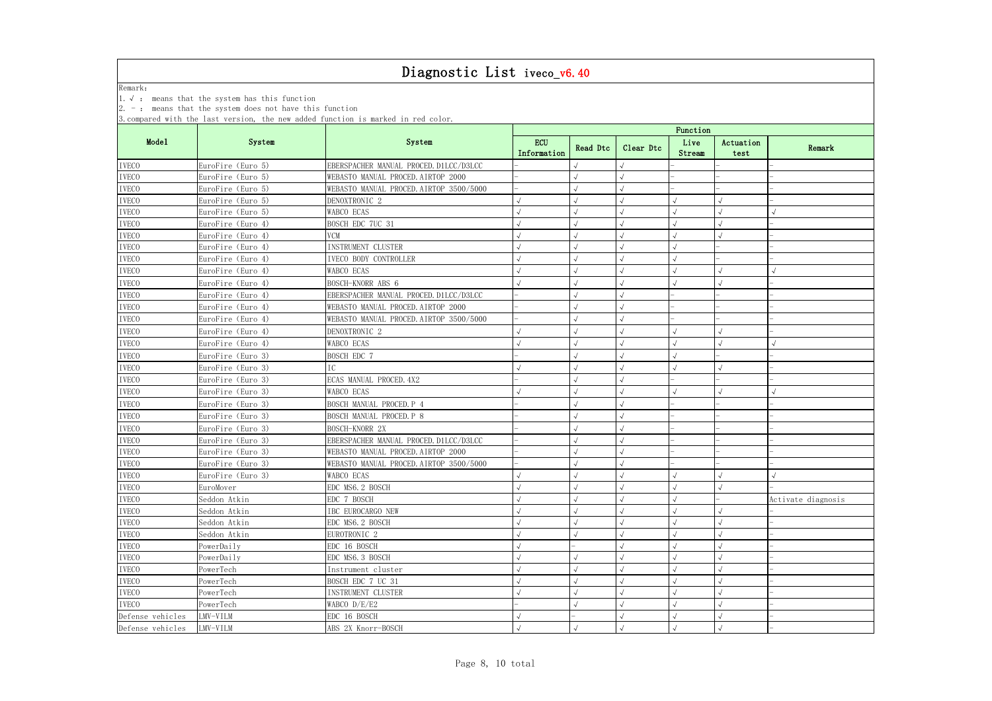|                  | 1. $\sqrt{ }$ : means that the system has this function     |                                                                                   |                           |          |           |                |                   |                    |
|------------------|-------------------------------------------------------------|-----------------------------------------------------------------------------------|---------------------------|----------|-----------|----------------|-------------------|--------------------|
|                  | $ 2. -$ : means that the system does not have this function |                                                                                   |                           |          |           |                |                   |                    |
|                  |                                                             | 3. compared with the last version, the new added function is marked in red color. |                           |          |           | Function       |                   |                    |
| Mode1            | System                                                      | System                                                                            | <b>ECU</b><br>Information | Read Dtc | Clear Dtc | Live<br>Stream | Actuation<br>test | Remark             |
| <b>IVECO</b>     | EuroFire (Euro 5)                                           | EBERSPACHER MANUAL PROCED. D1LCC/D3LCC                                            |                           |          |           |                |                   |                    |
| <b>IVECO</b>     | EuroFire (Euro 5)                                           | WEBASTO MANUAL PROCED. AIRTOP 2000                                                |                           |          |           |                |                   |                    |
| <b>IVECO</b>     | EuroFire (Euro 5)                                           | WEBASTO MANUAL PROCED. AIRTOP 3500/5000                                           |                           |          |           |                |                   |                    |
| <b>IVECO</b>     | EuroFire (Euro 5)                                           | DENOXTRONIC 2                                                                     |                           |          |           |                |                   |                    |
| <b>IVECO</b>     | EuroFire (Euro 5)                                           | WABCO ECAS                                                                        |                           |          |           |                |                   |                    |
| <b>IVECO</b>     | EuroFire (Euro 4)                                           | BOSCH EDC 7UC 31                                                                  |                           |          |           |                |                   |                    |
| <b>IVECO</b>     | EuroFire (Euro 4)                                           | <b>VCM</b>                                                                        |                           |          |           |                |                   |                    |
| <b>IVECO</b>     | EuroFire (Euro 4)                                           | INSTRUMENT CLUSTER                                                                |                           |          |           |                |                   |                    |
| <b>IVECO</b>     | EuroFire (Euro 4)                                           | IVECO BODY CONTROLLER                                                             |                           |          |           |                |                   |                    |
| <b>IVECO</b>     | EuroFire (Euro 4)                                           | WABCO ECAS                                                                        |                           |          |           |                |                   |                    |
| <b>IVECO</b>     | EuroFire (Euro 4)                                           | BOSCH-KNORR ABS 6                                                                 |                           |          |           |                |                   |                    |
| <b>IVECO</b>     | EuroFire (Euro 4)                                           | EBERSPACHER MANUAL PROCED. D1LCC/D3LCC                                            |                           |          |           |                |                   |                    |
| <b>IVECO</b>     | EuroFire (Euro 4)                                           | WEBASTO MANUAL PROCED. AIRTOP 2000                                                |                           |          |           |                |                   |                    |
| <b>IVECO</b>     | EuroFire (Euro 4)                                           | WEBASTO MANUAL PROCED. AIRTOP 3500/5000                                           |                           |          |           |                |                   |                    |
| <b>IVECO</b>     | EuroFire (Euro 4)                                           | DENOXTRONIC <sub>2</sub>                                                          |                           |          |           |                |                   |                    |
| <b>IVECO</b>     | EuroFire (Euro 4)                                           | WABCO ECAS                                                                        |                           |          |           |                |                   |                    |
| <b>IVECO</b>     | EuroFire (Euro 3)                                           | BOSCH EDC 7                                                                       |                           |          |           |                |                   |                    |
| <b>IVECO</b>     | EuroFire (Euro 3)                                           |                                                                                   |                           |          |           |                |                   |                    |
| <b>IVECO</b>     | EuroFire (Euro 3)                                           | ECAS MANUAL PROCED. 4X2                                                           |                           |          |           |                |                   |                    |
| <b>IVECO</b>     | EuroFire (Euro 3)                                           | WABCO ECAS                                                                        |                           |          |           |                |                   |                    |
| <b>IVECO</b>     | EuroFire (Euro 3)                                           | BOSCH MANUAL PROCED. P 4                                                          |                           |          |           |                |                   |                    |
| <b>IVECO</b>     | EuroFire (Euro 3)                                           | BOSCH MANUAL PROCED. P 8                                                          |                           |          |           |                |                   |                    |
| <b>IVECO</b>     | EuroFire (Euro 3)                                           | BOSCH-KNORR 2X                                                                    |                           |          |           |                |                   |                    |
| <b>IVECO</b>     | EuroFire (Euro 3)                                           | EBERSPACHER MANUAL PROCED. D1LCC/D3LCC                                            |                           |          |           |                |                   |                    |
| <b>IVECO</b>     | EuroFire (Euro 3)                                           | WEBASTO MANUAL PROCED. AIRTOP 2000                                                |                           |          |           |                |                   |                    |
| <b>IVECO</b>     | EuroFire (Euro 3)                                           | WEBASTO MANUAL PROCED. AIRTOP 3500/5000                                           |                           |          |           |                |                   |                    |
| <b>IVECO</b>     | EuroFire (Euro 3)                                           | WABCO ECAS                                                                        |                           |          |           |                |                   |                    |
| <b>IVECO</b>     | EuroMover                                                   | EDC MS6.2 BOSCH                                                                   |                           |          |           |                |                   |                    |
| <b>IVECO</b>     | Seddon Atkin                                                | EDC 7 BOSCH                                                                       |                           |          |           |                |                   | Activate diagnosis |
| <b>IVECO</b>     | Seddon Atkin                                                | IBC EUROCARGO NEW                                                                 |                           |          |           |                |                   |                    |
| <b>IVECO</b>     | Seddon Atkin                                                | EDC MS6.2 BOSCH                                                                   |                           |          |           |                |                   |                    |
| <b>IVECO</b>     | Seddon Atkin                                                | EUROTRONIC 2                                                                      |                           |          |           |                |                   |                    |
| <b>IVECO</b>     | PowerDaily                                                  | EDC 16 BOSCH                                                                      |                           |          |           |                |                   |                    |
| <b>IVECO</b>     | PowerDaily                                                  | EDC MS6.3 BOSCH                                                                   |                           |          |           |                |                   |                    |
| <b>IVECO</b>     | PowerTech                                                   | Instrument cluster                                                                |                           |          |           |                |                   |                    |
| <b>IVECO</b>     | PowerTech                                                   | BOSCH EDC 7 UC 31                                                                 |                           |          |           |                |                   |                    |
| <b>IVECO</b>     | PowerTech                                                   | INSTRUMENT CLUSTER                                                                |                           |          |           |                |                   |                    |
| <b>IVECO</b>     | PowerTech                                                   | WABCO D/E/E2                                                                      |                           |          |           |                |                   |                    |
| Defense vehicles | LMV-VILM                                                    | EDC 16 BOSCH                                                                      |                           |          |           |                |                   |                    |
| Defense vehicles | LMV-VILM                                                    | ABS 2X Knorr-BOSCH                                                                |                           |          |           |                |                   |                    |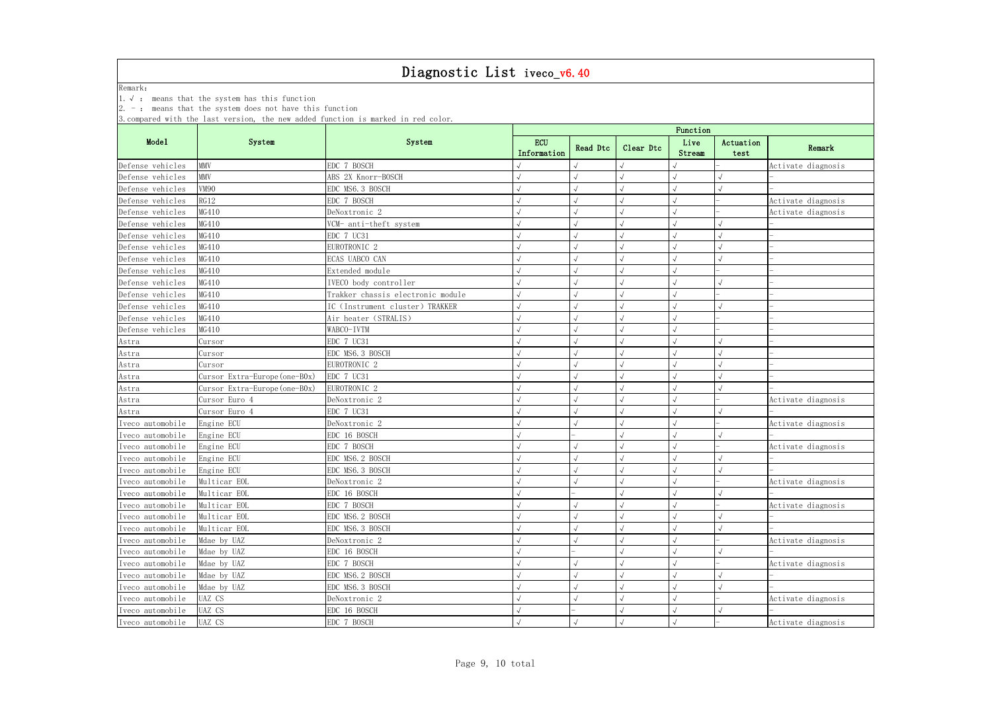Remark:

1.√ : means that the system has this function

|                  |                               | System                            |                    | Function   |           |                |                   |                    |  |  |
|------------------|-------------------------------|-----------------------------------|--------------------|------------|-----------|----------------|-------------------|--------------------|--|--|
| Mode1            | System                        |                                   | ECU<br>Information | Read Dtc   | Clear Dtc | Live<br>Stream | Actuation<br>test | Remark             |  |  |
| Defense vehicles | <b>MMV</b>                    | EDC 7 BOSCH                       |                    |            |           |                |                   | Activate diagnosis |  |  |
| Defense vehicles | <b>MMV</b>                    | ABS 2X Knorr-BOSCH                |                    |            |           |                |                   |                    |  |  |
| Defense vehicles | <b>VM90</b>                   | EDC MS6.3 BOSCH                   |                    |            |           |                |                   |                    |  |  |
| Defense vehicles | RG12                          | EDC 7 BOSCH                       |                    |            |           |                |                   | Activate diagnosis |  |  |
| Defense vehicles | MG410                         | DeNoxtronic 2                     |                    |            |           |                |                   | Activate diagnosis |  |  |
| Defense vehicles | MG410                         | VCM- anti-theft system            |                    |            |           |                |                   |                    |  |  |
| Defense vehicles | MG410                         | EDC 7 UC31                        |                    |            |           |                |                   |                    |  |  |
| Defense vehicles | MG410                         | EUROTRONIC <sub>2</sub>           |                    |            |           |                |                   |                    |  |  |
| Defense vehicles | MG410                         | ECAS UABCO CAN                    |                    |            |           |                |                   |                    |  |  |
| Defense vehicles | MG410                         | Extended module                   |                    |            |           |                |                   |                    |  |  |
| Defense vehicles | MG410                         | IVECO body controller             |                    |            |           |                |                   |                    |  |  |
| Defense vehicles | MG410                         | Trakker chassis electronic module |                    |            |           |                |                   |                    |  |  |
| Defense vehicles | MG410                         | IC (Instrument cluster) TRAKKER   |                    |            |           |                |                   |                    |  |  |
| Defense vehicles | MG410                         | Air heater (STRALIS)              |                    |            |           |                |                   |                    |  |  |
| Defense vehicles | MG410                         | WABCO-IVTM                        |                    |            |           |                |                   |                    |  |  |
| Astra            | Cursor                        | EDC 7 UC31                        |                    |            |           |                |                   |                    |  |  |
| Astra            | Cursor                        | EDC MS6.3 BOSCH                   |                    |            |           |                |                   |                    |  |  |
| Astra            | Cursor                        | EUROTRONIC <sub>2</sub>           |                    |            |           |                |                   |                    |  |  |
| Astra            | Cursor Extra-Europe (one-B0x) | EDC 7 UC31                        |                    |            |           |                |                   |                    |  |  |
| Astra            | Cursor Extra-Europe (one-B0x) | EUROTRONIC <sub>2</sub>           |                    |            |           |                |                   |                    |  |  |
| Astra            | Cursor Euro 4                 | DeNoxtronic 2                     |                    |            |           |                |                   | Activate diagnosis |  |  |
| Astra            | Cursor Euro 4                 | EDC 7 UC31                        |                    |            |           |                |                   |                    |  |  |
| Iveco automobile | Engine ECU                    | DeNoxtronic 2                     |                    |            |           |                |                   | Activate diagnosis |  |  |
| Iveco automobile | Engine ECU                    | EDC 16 BOSCH                      |                    |            |           |                |                   |                    |  |  |
| Iveco automobile | Engine ECU                    | EDC 7 BOSCH                       |                    |            |           |                |                   | Activate diagnosis |  |  |
| Iveco automobile | Engine ECU                    | EDC MS6. 2 BOSCH                  |                    |            |           |                |                   |                    |  |  |
| Iveco automobile | Engine ECU                    | EDC MS6.3 BOSCH                   |                    |            |           |                |                   |                    |  |  |
| Iveco automobile | Multicar EOL                  | DeNoxtronic 2                     |                    | $\sqrt{ }$ | $\sqrt{}$ | $\sqrt{ }$     |                   | Activate diagnosis |  |  |
| Iveco automobile | Multicar EOL                  | EDC 16 BOSCH                      |                    |            |           |                |                   |                    |  |  |
| Iveco automobile | Multicar EOL                  | EDC 7 BOSCH                       |                    |            |           |                |                   | Activate diagnosis |  |  |
| Iveco automobile | Multicar EOL                  | EDC MS6. 2 BOSCH                  |                    |            |           |                |                   |                    |  |  |
| Iveco automobile | Multicar EOL                  | EDC MS6.3 BOSCH                   |                    |            |           |                |                   |                    |  |  |
| Iveco automobile | Mdae by UAZ                   | DeNoxtronic 2                     |                    |            |           |                |                   | Activate diagnosis |  |  |
| Iveco automobile | Mdae by UAZ                   | EDC 16 BOSCH                      |                    |            |           |                |                   |                    |  |  |
| Iveco automobile | Mdae by UAZ                   | EDC 7 BOSCH                       |                    |            |           |                |                   | Activate diagnosis |  |  |
| Iveco automobile | Mdae by UAZ                   | EDC MS6.2 BOSCH                   |                    |            |           |                |                   |                    |  |  |
| Iveco automobile | Mdae by UAZ                   | EDC MS6.3 BOSCH                   |                    |            |           |                |                   |                    |  |  |
| Iveco automobile | UAZ CS                        | DeNoxtronic 2                     |                    |            |           |                |                   | Activate diagnosis |  |  |
| Iveco automobile | UAZ CS                        | EDC 16 BOSCH                      |                    |            |           |                |                   |                    |  |  |
| Iveco automobile | UAZ CS                        | EDC 7 BOSCH                       |                    | $\sqrt{ }$ | $\sqrt{}$ | $\sqrt{}$      |                   | Activate diagnosis |  |  |